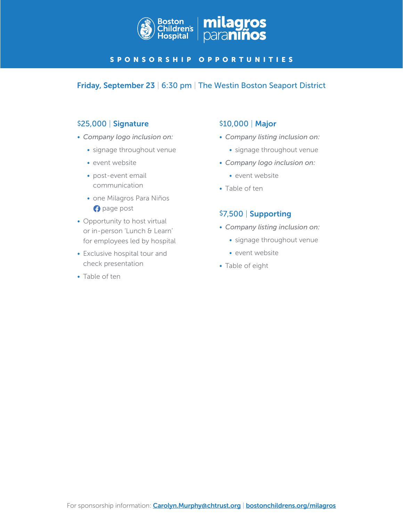

### SPONSORSHIP OPPORTUNITIES

### Friday, September 23 | 6:30 pm | The Westin Boston Seaport District

### \$25,000 | Signature

- *Company logo inclusion on:*
	- signage throughout venue
	- event website
	- post-event email communication
	- one Milagros Para Niños **page post**
- Opportunity to host virtual or in-person 'Lunch & Learn' for employees led by hospital
- Exclusive hospital tour and check presentation
- Table of ten

# \$10,000 | Major

- *Company listing inclusion on:*
	- signage throughout venue
- *Company logo inclusion on:*
	- event website
- Table of ten

### \$7,500 | Supporting

- *Company listing inclusion on:*
	- signage throughout venue
	- event website
- Table of eight